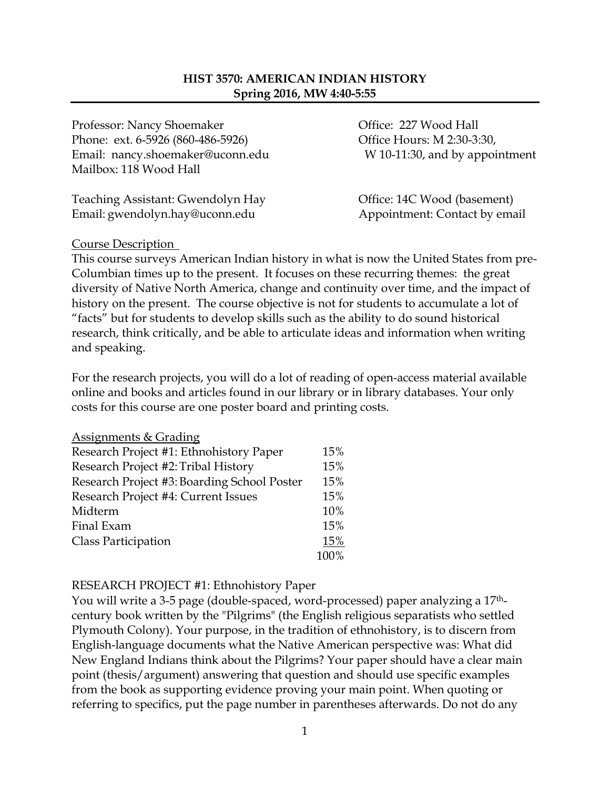## **HIST 3570: AMERICAN INDIAN HISTORY Spring 2016, MW 4:40-5:55**

Professor: Nancy Shoemaker **Office: 227 Wood Hall** Phone: ext. 6-5926 (860-486-5926) Office Hours: M 2:30-3:30, Email: nancy.shoemaker@uconn.edu W 10-11:30, and by appointment Mailbox: 118 Wood Hall

Teaching Assistant: Gwendolyn Hay Office: 14C Wood (basement) Email: gwendolyn.hay@uconn.edu Appointment: Contact by email

#### Course Description

This course surveys American Indian history in what is now the United States from pre-Columbian times up to the present. It focuses on these recurring themes: the great diversity of Native North America, change and continuity over time, and the impact of history on the present. The course objective is not for students to accumulate a lot of "facts" but for students to develop skills such as the ability to do sound historical research, think critically, and be able to articulate ideas and information when writing and speaking.

For the research projects, you will do a lot of reading of open-access material available online and books and articles found in our library or in library databases. Your only costs for this course are one poster board and printing costs.

| <b>Assignments &amp; Grading</b>            |      |
|---------------------------------------------|------|
| Research Project #1: Ethnohistory Paper     | 15%  |
| Research Project #2: Tribal History         | 15%  |
| Research Project #3: Boarding School Poster | 15%  |
| Research Project #4: Current Issues         | 15%  |
| Midterm                                     | 10%  |
| Final Exam                                  | 15%  |
| Class Participation                         | 15%  |
|                                             | 100% |

#### RESEARCH PROJECT #1: Ethnohistory Paper

You will write a 3-5 page (double-spaced, word-processed) paper analyzing a 17<sup>th</sup>century book written by the "Pilgrims" (the English religious separatists who settled Plymouth Colony). Your purpose, in the tradition of ethnohistory, is to discern from English-language documents what the Native American perspective was: What did New England Indians think about the Pilgrims? Your paper should have a clear main point (thesis/argument) answering that question and should use specific examples from the book as supporting evidence proving your main point. When quoting or referring to specifics, put the page number in parentheses afterwards. Do not do any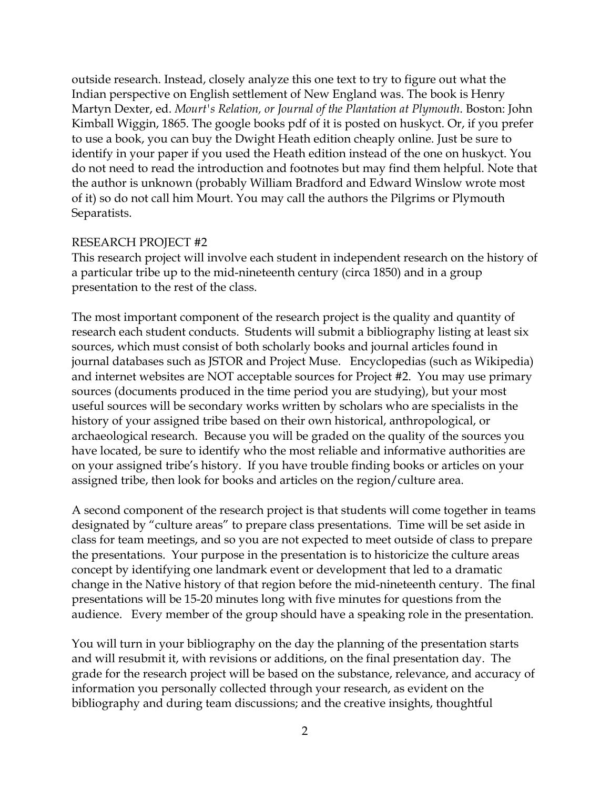outside research. Instead, closely analyze this one text to try to figure out what the Indian perspective on English settlement of New England was. The book is Henry Martyn Dexter, ed. *Mourt's Relation, or Journal of the Plantation at Plymouth*. Boston: John Kimball Wiggin, 1865. The google books pdf of it is posted on huskyct. Or, if you prefer to use a book, you can buy the Dwight Heath edition cheaply online. Just be sure to identify in your paper if you used the Heath edition instead of the one on huskyct. You do not need to read the introduction and footnotes but may find them helpful. Note that the author is unknown (probably William Bradford and Edward Winslow wrote most of it) so do not call him Mourt. You may call the authors the Pilgrims or Plymouth Separatists.

#### RESEARCH PROJECT #2

This research project will involve each student in independent research on the history of a particular tribe up to the mid-nineteenth century (circa 1850) and in a group presentation to the rest of the class.

The most important component of the research project is the quality and quantity of research each student conducts. Students will submit a bibliography listing at least six sources, which must consist of both scholarly books and journal articles found in journal databases such as JSTOR and Project Muse. Encyclopedias (such as Wikipedia) and internet websites are NOT acceptable sources for Project #2. You may use primary sources (documents produced in the time period you are studying), but your most useful sources will be secondary works written by scholars who are specialists in the history of your assigned tribe based on their own historical, anthropological, or archaeological research. Because you will be graded on the quality of the sources you have located, be sure to identify who the most reliable and informative authorities are on your assigned tribe's history. If you have trouble finding books or articles on your assigned tribe, then look for books and articles on the region/culture area.

A second component of the research project is that students will come together in teams designated by "culture areas" to prepare class presentations. Time will be set aside in class for team meetings, and so you are not expected to meet outside of class to prepare the presentations. Your purpose in the presentation is to historicize the culture areas concept by identifying one landmark event or development that led to a dramatic change in the Native history of that region before the mid-nineteenth century. The final presentations will be 15-20 minutes long with five minutes for questions from the audience. Every member of the group should have a speaking role in the presentation.

You will turn in your bibliography on the day the planning of the presentation starts and will resubmit it, with revisions or additions, on the final presentation day. The grade for the research project will be based on the substance, relevance, and accuracy of information you personally collected through your research, as evident on the bibliography and during team discussions; and the creative insights, thoughtful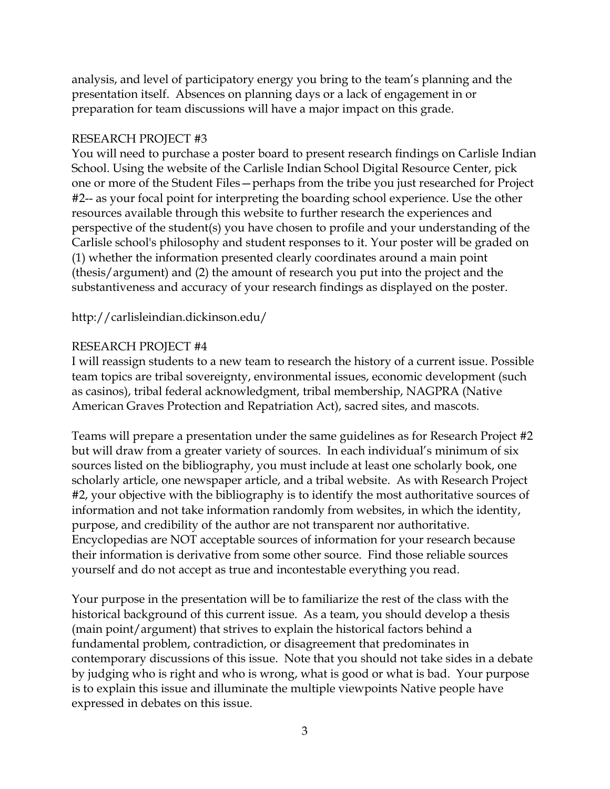analysis, and level of participatory energy you bring to the team's planning and the presentation itself. Absences on planning days or a lack of engagement in or preparation for team discussions will have a major impact on this grade.

#### RESEARCH PROJECT #3

You will need to purchase a poster board to present research findings on Carlisle Indian School. Using the website of the Carlisle Indian School Digital Resource Center, pick one or more of the Student Files—perhaps from the tribe you just researched for Project #2-- as your focal point for interpreting the boarding school experience. Use the other resources available through this website to further research the experiences and perspective of the student(s) you have chosen to profile and your understanding of the Carlisle school's philosophy and student responses to it. Your poster will be graded on (1) whether the information presented clearly coordinates around a main point (thesis/argument) and (2) the amount of research you put into the project and the substantiveness and accuracy of your research findings as displayed on the poster.

http://carlisleindian.dickinson.edu/

## RESEARCH PROJECT #4

I will reassign students to a new team to research the history of a current issue. Possible team topics are tribal sovereignty, environmental issues, economic development (such as casinos), tribal federal acknowledgment, tribal membership, NAGPRA (Native American Graves Protection and Repatriation Act), sacred sites, and mascots.

Teams will prepare a presentation under the same guidelines as for Research Project #2 but will draw from a greater variety of sources. In each individual's minimum of six sources listed on the bibliography, you must include at least one scholarly book, one scholarly article, one newspaper article, and a tribal website. As with Research Project #2, your objective with the bibliography is to identify the most authoritative sources of information and not take information randomly from websites, in which the identity, purpose, and credibility of the author are not transparent nor authoritative. Encyclopedias are NOT acceptable sources of information for your research because their information is derivative from some other source. Find those reliable sources yourself and do not accept as true and incontestable everything you read.

Your purpose in the presentation will be to familiarize the rest of the class with the historical background of this current issue. As a team, you should develop a thesis (main point/argument) that strives to explain the historical factors behind a fundamental problem, contradiction, or disagreement that predominates in contemporary discussions of this issue. Note that you should not take sides in a debate by judging who is right and who is wrong, what is good or what is bad. Your purpose is to explain this issue and illuminate the multiple viewpoints Native people have expressed in debates on this issue.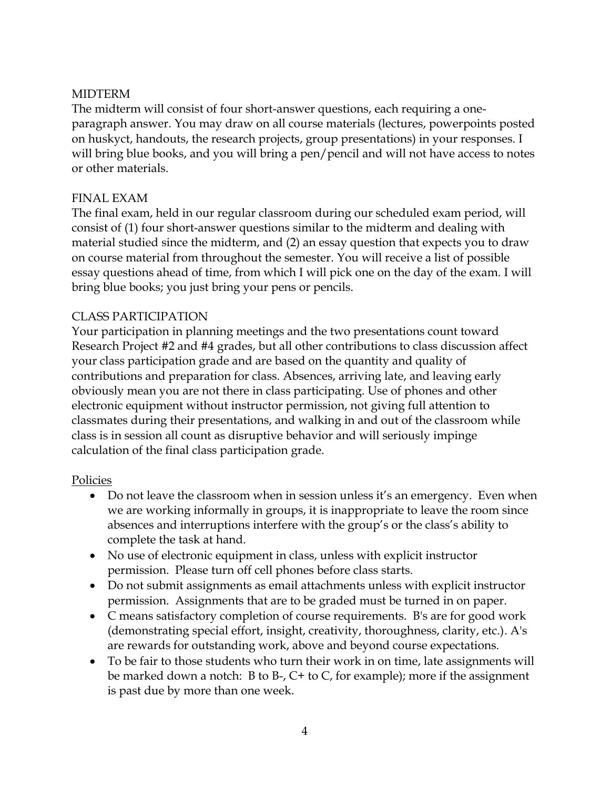## MIDTERM

The midterm will consist of four short-answer questions, each requiring a oneparagraph answer. You may draw on all course materials (lectures, powerpoints posted on huskyct, handouts, the research projects, group presentations) in your responses. I will bring blue books, and you will bring a pen/pencil and will not have access to notes or other materials.

## FINAL EXAM

The final exam, held in our regular classroom during our scheduled exam period, will consist of (1) four short-answer questions similar to the midterm and dealing with material studied since the midterm, and (2) an essay question that expects you to draw on course material from throughout the semester. You will receive a list of possible essay questions ahead of time, from which I will pick one on the day of the exam. I will bring blue books; you just bring your pens or pencils.

## CLASS PARTICIPATION

Your participation in planning meetings and the two presentations count toward Research Project #2 and #4 grades, but all other contributions to class discussion affect your class participation grade and are based on the quantity and quality of contributions and preparation for class. Absences, arriving late, and leaving early obviously mean you are not there in class participating. Use of phones and other electronic equipment without instructor permission, not giving full attention to classmates during their presentations, and walking in and out of the classroom while class is in session all count as disruptive behavior and will seriously impinge calculation of the final class participation grade.

#### Policies

- Do not leave the classroom when in session unless it's an emergency. Even when we are working informally in groups, it is inappropriate to leave the room since absences and interruptions interfere with the group's or the class's ability to complete the task at hand.
- No use of electronic equipment in class, unless with explicit instructor permission. Please turn off cell phones before class starts.
- Do not submit assignments as email attachments unless with explicit instructor permission. Assignments that are to be graded must be turned in on paper.
- C means satisfactory completion of course requirements. B's are for good work (demonstrating special effort, insight, creativity, thoroughness, clarity, etc.). A's are rewards for outstanding work, above and beyond course expectations.
- To be fair to those students who turn their work in on time, late assignments will be marked down a notch: B to B-, C+ to C, for example); more if the assignment is past due by more than one week.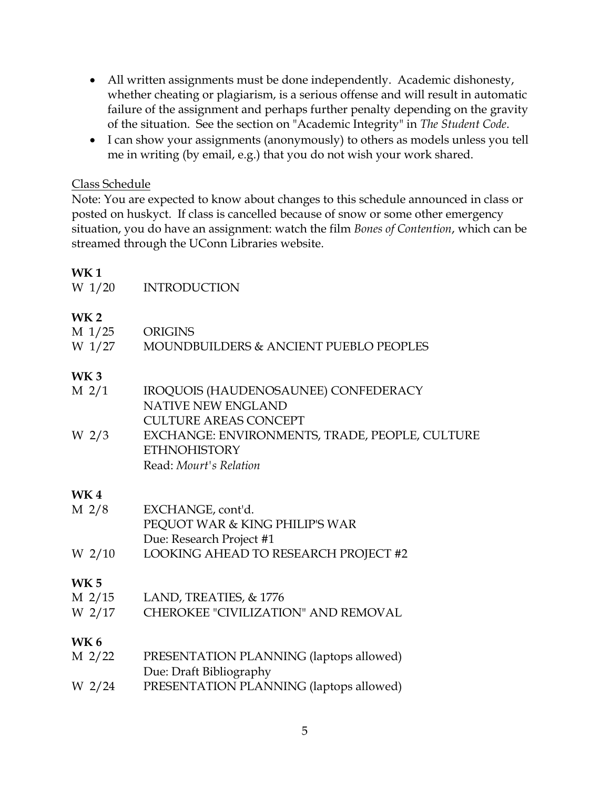- All written assignments must be done independently. Academic dishonesty, whether cheating or plagiarism, is a serious offense and will result in automatic failure of the assignment and perhaps further penalty depending on the gravity of the situation. See the section on "Academic Integrity" in *The Student Code*.
- I can show your assignments (anonymously) to others as models unless you tell me in writing (by email, e.g.) that you do not wish your work shared.

### Class Schedule

Note: You are expected to know about changes to this schedule announced in class or posted on huskyct. If class is cancelled because of snow or some other emergency situation, you do have an assignment: watch the film *Bones of Contention*, which can be streamed through the UConn Libraries website.

## **WK 1**

| W 1/20           | <b>INTRODUCTION</b>                            |
|------------------|------------------------------------------------|
| <b>WK2</b>       |                                                |
| M 1/25           | <b>ORIGINS</b>                                 |
| W 1/27           | MOUNDBUILDERS & ANCIENT PUEBLO PEOPLES         |
| WK 3             |                                                |
| M 2/1            | IROQUOIS (HAUDENOSAUNEE) CONFEDERACY           |
|                  | <b>NATIVE NEW ENGLAND</b>                      |
|                  | <b>CULTURE AREAS CONCEPT</b>                   |
| W <sub>2/3</sub> | EXCHANGE: ENVIRONMENTS, TRADE, PEOPLE, CULTURE |
|                  | <b>ETHNOHISTORY</b>                            |
|                  | Read: Mourt's Relation                         |
| WK 4             |                                                |
| M 2/8            | EXCHANGE, cont'd.                              |
|                  | PEQUOT WAR & KING PHILIP'S WAR                 |
|                  | Due: Research Project #1                       |
| $W_2/10$         | LOOKING AHEAD TO RESEARCH PROJECT #2           |
| <b>WK 5</b>      |                                                |
|                  | M 2/15 LAND, TREATIES, & 1776                  |
| W 2/17           | <b>CHEROKEE "CIVILIZATION" AND REMOVAL</b>     |
| WK 6             |                                                |
| M 2/22           | PRESENTATION PLANNING (laptops allowed)        |
|                  | Due: Draft Bibliography                        |
| W 2/24           | PRESENTATION PLANNING (laptops allowed)        |
|                  |                                                |